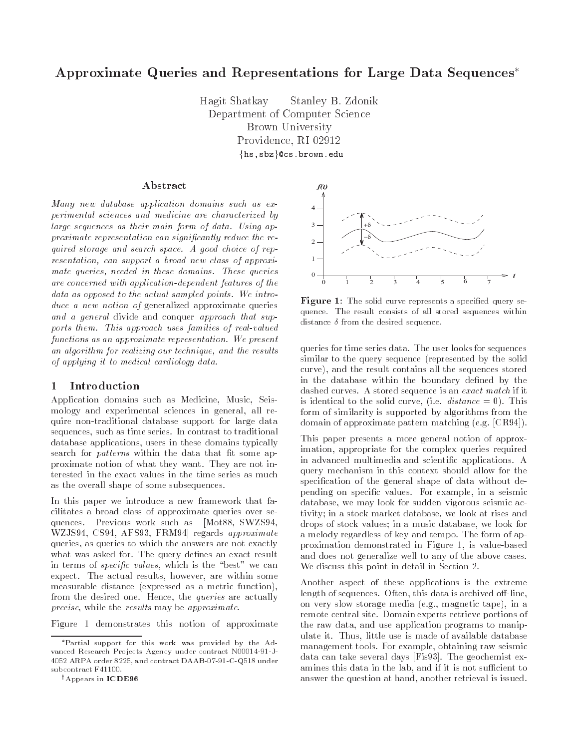# Approximate Queries and Representations for Large Data Sequences

Hagit Shatkay Stanley B- ZdonikDepartment of Computer ScienceBrown UniversityProvidence, RI 02912  $\{ {\tt hs}$ ,sbz $\}$ @cs.brown.edu

### Abstract

Many new database application domains such as experimental sciences and medicine are characterized by large sequences as their main form of data. Using approximate representation can significantly reduce the required storage and search space. A good choice of representation, can support a broad new class of approximate queries, needed in these domains. These queries are concerned with application-to-map chinesis powers of the co data as opposed to the actual sampled points. We introduce a new notion of generalized approximate queries and a general divide and conquer approach that supports them This approach uses families of real-valued functions as an approximate representation. We present an algorithm for realizing our technique, and the results of applying it to medical cardiology data

#### Introduction  $\mathbf 1$

Application domains such as Medicine- Music- Seis mology and experimental sciences in general- all re quire non-traditional database support for large data sequences-in contrast to traditional such as time series In contrast to traditional such as time series In con database applications-de-controlled to the set of these domains typically developed to the set of the set of t search for *patterns* within the data that fit some approximate notion of what they want. They are not interested in the exact values in the time series as much as the overall shape of some subsequences

In this paper we introduce a new framework that fa cilitates a broad class of approximate queries over se quences Previous worker such as Motor Sware such as Motor Sware was the contract of the state of the contract of the contract of the contract of the contract of the contract of the contract of the contract of the contract of the contract of the contract of the contract of the contract queries to which the answers are not exactly are not exactly are not exactly as a strategy of the answers of the state of the strategy of the strategy of the strategy of the strategy of the strategy of the strategy of the what was asked for. The query defines an exact result in terms of specific coloring complete in the color coloring the state of the state of the state of the state o expect The actual results-in a results-in a result some versus and are with some versus and are within some versus and measurable distance (expressed as a metric function), from the desired one Hence- the queries are actually precise the results may be approximately be a properties of the results of the results of the results of the r

Figure 1 demonstrates this notion of approximate

```
yAppears in ICDE-
```


 $\bf r$  is the solid curve represents a specified duely sequence The result consists of all stored sequences within distance  $\delta$  from the desired sequence.

queries for time series data The user looks for sequences similar to the query sequence (represented by the solid curve-the result contains all the results all the sequences stored all the sequences stored all the sequences s in the database within the boundary defined by the dashed curves. A stored sequence is an exact match if it is identical to the solution of  $\mathbf{r}$ form of similarity is supported by algorithms from the domain of approximate pattern matching  $(e.g. [CR94])$ .

This paper presents a more general notion of approx imation- appropriate for the complex queries required in advanced multimedia and scientific applications. A query mechanism in this context should allow for the specification of the general shape of data without depending on specic values For example- in a seismic adatabase - wa may look for sudden vigorous seismic ac tivity in a stock market mathematic market database and the stock market and drops of stock values in a music database-in a music database-in a music database-in a music database-in a music a melody regardless of key and tempo. The form of approximation demonstrated in Figure - is valuebased and does not generalize well to any of the above cases We discuss this point in detail in Section 2.

Another aspect of these applications is the extreme length of sequences Often- this data is archived olineon very slow storage media eg- magnetic tape- in a remote central site Domain experts retrieve portions of the raw data-distribution programs to manipulation programs to manipulation and approach and approach to manipulation of the substitution of the substitution of the substitution of the substitution of the substitution of t ulate it <del>Thus-Assetted users in the alternative and available database</del> management tools For example- obtaining raw seismic data can take several days Fis The geochemist ex amines the lab-dimension of the lab-dimension  $\mathcal{A}$ answer the question at hand-distribution at hand-distribution at hand-distribution at hand-distribution at hand-

Partial support for this work was provided by the Advanced Research Pro jects Agency under contract N--J-ARPA order  $\mathcal{A}$  order  $\mathcal{A}$  order  $\mathcal{A}$  order  $\mathcal{A}$  order  $\mathcal{A}$  order  $\mathcal{A}$  order  $\mathcal{A}$  order  $\mathcal{A}$  order  $\mathcal{A}$  order  $\mathcal{A}$  order  $\mathcal{A}$  order  $\mathcal{A}$  order  $\mathcal{A}$  order  $\mathcal{A}$  order subcontract F41100.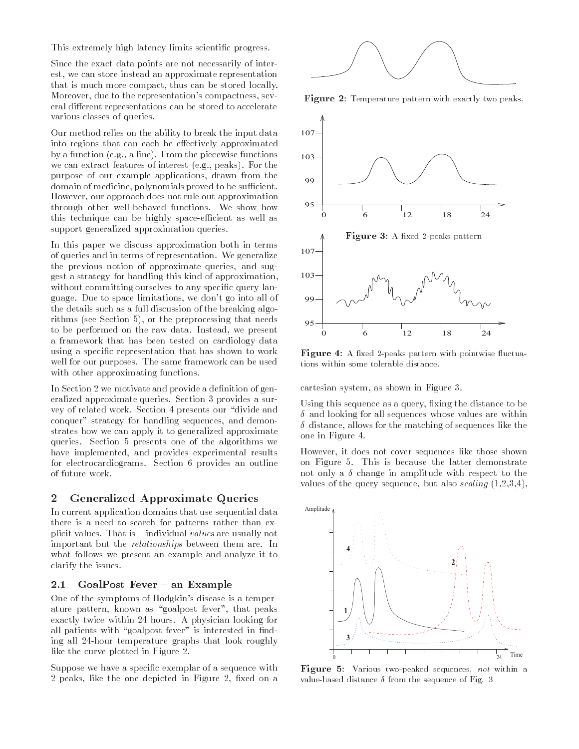This extremely high latency limits scienti-c progress

Since the exact data points are not necessarily of inter est, we can store instead an approximate representation that is much more compact, thus can be stored locally. that is much more compact thus can be stored locally Moreover, due to the representation's compactness, several different representations can be stored to accelerate various classes of queries

Our method relies on the ability to break the input data into regions that can each be effectively approximated by a function  $(e.g., a line)$ . From the piecewise functions we can extract features of interest  $(e.g., peaks)$ . For the purpose of our example applications, drawn from the domain of medicine polynomials proved to be substantials proved to be substantially proved to be substantially However, our approach does not rule out approximation through other well-behaved functions. We show how this technique can be highly space can be highly space of the space of the space of the space of the space of the space of the space of the space of the space of the space of the space of the space of the space of the spac support generalized approximation queries

In this paper we discuss approximation both in terms of queries and in terms of representation. We generalize the previous notion of approximate queries, and suggest a strategy for handling this kind of approximation with a committing ourselves to any specific query landship guage. Due to space limitations, we don't go into all of the details such as a full discussion of the breaking algo rithms (see Section  $5$ ), or the preprocessing that needs to be performed on the raw data. Instead, we present a framework that has been tested on cardiology data using a speci-c representation that has shown to work well for our purposes. The same framework can be used with other approximating functions.

In Section  we motivate and provide a de-nition of gen eralized approximate queries. Section 3 provides a survey of related work. Section 4 presents our "divide and conquer" strategy for handling sequences, and demonstrates how we can apply it to generalized approximate queries. Section 5 presents one of the algorithms we have implemented, and provides experimental results for electrocardiograms. Section 6 provides an outline of future work

## Generalized Approximate Queries

In current application domains that use sequential data In current application domains that use sequential data there is a need to search for patterns rather than ex plicit values. That is  $\overline{\phantom{a}}$  individual values are usually not important but the *relationships* between them are. In what follows we present an example and analyze it to clarify the issues

### 2.1 GoalPost Fever - an Example

One of the symptoms of Hodgkin's disease is a temperature pattern, known as "goalpost fever", that peaks exactly twice within 24 hours. A physician looking for all patients with goalpost fever is interested in the control of the control of the control of the control of t ing all 24-hour temperature graphs that look roughly like the curve plotted in Figure 2.

Suppose we have a speci-c exemplar of a sequence with  peaks like the one depicted in Figure  -xed on a



**Figure 2.** Temperature pattern with exactly two peaks.



Figure 4: A fixed 2-peaks pattern with pointwise fluctuations within some tolerable distance.

cartesian system, as shown in Figure 3.

Using this sequence as a query -xing the distance to be  $\delta$  and looking for all sequences whose values are within  $\delta$  distance, allows for the matching of sequences like the one in Figure

However, it does not cover sequences like those shown on Figure 5. This is because the latter demonstrate not only a  $\delta$  change in amplitude with respect to the values of the query sequence, but also scaling  $(1,2,3,4)$ ,



Figure 5: Various two-peaked sequences, not within a value based distance is a self-set of Figures of Fig. 5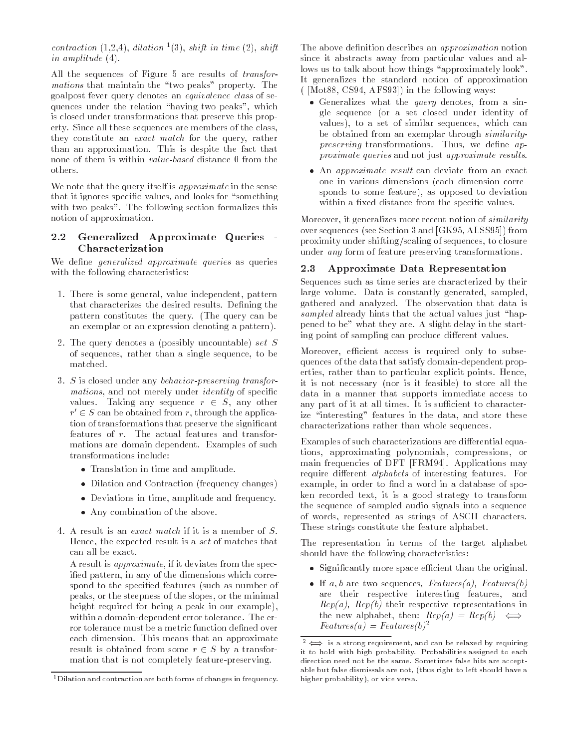contraction  $(1,2,4)$ , audition  $\lceil 3 \rceil$ , shift in time  $(2)$ , shift *in amplitude* (±).

All the sequences of Figure  $5$  are results of *transfor*mations that manufacture the peaks property rule goalpost fever query denotes an equivalence class of se  $\mathbf{h}$  , the relation peaks which relation  $\mathbf{h}$  are lating two peaks which relation  $\mathbf{h}$ is closed under transformations that preserve this prop erty. Since all these sequences are members of the class, they constitute an *exact match* for the query, rather than an approximation. This is despite the fact that none of them is within twent twoca distance of from the others.

We note that the query itself is approximate in the sense that it ignores specic values and looks for something with two peaks". The following section formalizes this notion of approximation

### $2.2$  Generalized Approximate Queries Characterization

We define *generalized approximate queries* as queries with the following characteristics:

- There is some general value independent pattern that characterizes the desired results. Defining the pattern constitutes the query. (The query can be an exemplar or an expression denoting a pattern
- 2. The query denotes a (possibly uncountable) set  $S$ of sequences, rather than a single sequence, to be matched
- $\sigma$  is closed under any *ochuotor-preserving transfor*mations, and not merely under *identity* of specific values. Taking any sequence  $r \in S$ , any other  $r$   $\in$   $S$  can be obtained from  $r$ , through the application of transformations that preserve the signicant features of  $r$ . The actual features and transformations are domain dependent. Examples of such transformations include:
	- Translation in time and amplitude
	- Dilation and Contraction frequency changes
	- Deviations in time and frequency in the frequency of  $\mathcal{L}$
	- Any combination of the above
- 4. A result is an *exact match* if it is a member of  $S$ . Hence, the expected result is a set of matches that can all be exact

A result is *approximate*, if it deviates from the specified pattern, in any of the dimensions which correspond to the specified features (such as number of peaks or the steepness of the slopes or the minimal height required for being a peak in our example), within a domain-dependent error tolerance. The error tolerance must be a metric function defined over each dimension. This means that an approximate result is obtained from some  $r \in S$  by a transformation that is not completely feature-preserving.

The above definition describes an *approximation* notion since it abstracts away from particular values and al lows us to talk about how things approximately look It generalizes the standard notion of approximation  $(Not 88, CS94, AFS93])$  in the following ways:

- Generalizes what the query denotes from a sin gle sequence (or a set closed under identity of values), to a set of similar sequences, which can be obtained from an exemplar through similaritypreserving transformations Thus we dene approximate queries and not just approximate results
- $\bullet$  An approximate result can deviate from an exact one in various dimensions (each dimension corresponds to some feature), as opposed to deviation within a fixed distance from the specific values.

Moreover, it generalizes more recent notion of *similarity* over sequences (see Section 3 and  $[GK95, ALSS95]$ ) from proximity under shifting/scaling of sequences, to closure under any form of feature preserving transformations

#### 2.3 Approximate Data Representation

Sequences such as time series are characterized by their large volume. Data is constantly generated, sampled, gathered and analyzed. The observation that data is sampled already hints that the actual values just hap pened to be" what they are. A slight delay in the starting point of sampling can produce different values.

Moreover, efficient access is required only to subsequences of the data that satisfy domain-dependent properties, rather than to particular explicit points. Hence, it is not necessary (nor is it feasible) to store all the data in a manner that supports immediate access to any part of it at all times. It is sufficient to characterize interesting features in the data and store these characterizations rather than whole sequences

Examples of such characterizations are differential equations, approximating polynomials, compressions, or main frequencies of DFT [FRM94]. Applications may require different *alphabets* of interesting features. For example, in order to find a word in a database of spoken recorded text, it is a good strategy to transform the sequence of sampled audio signals into a sequence of words, represented as strings of ASCII characters. These strings constitute the feature alphabet

The representation in terms of the target alphabet should have the following characteristics

- significant that is space that the original than the original than  $\sim$
- $\bullet$  If  $a, v$  are two sequences, *Features*  $a$ , *Features*  $v$ are their respective interesting features, and  $\mu \epsilon \rho_l \alpha$ ,  $\mu \epsilon \rho_l \sigma$  then respective representations in the new alphabet, then:  $Rep(a) = Rep(b) \iff$  $Features(a) = Features(b)^2$

 $1$  Dilation and contraction are both forms of changes in frequency.

 $\bar{z} \leftrightarrow$  is a strong requirement, and can be relaxed by requiring it to hold with high probability- Probabilities assigned to eachdirection need not be the same- Sometimes false hits are acceptable but false dismissals are not, (thus right to left should have a higher probability), or vice versa.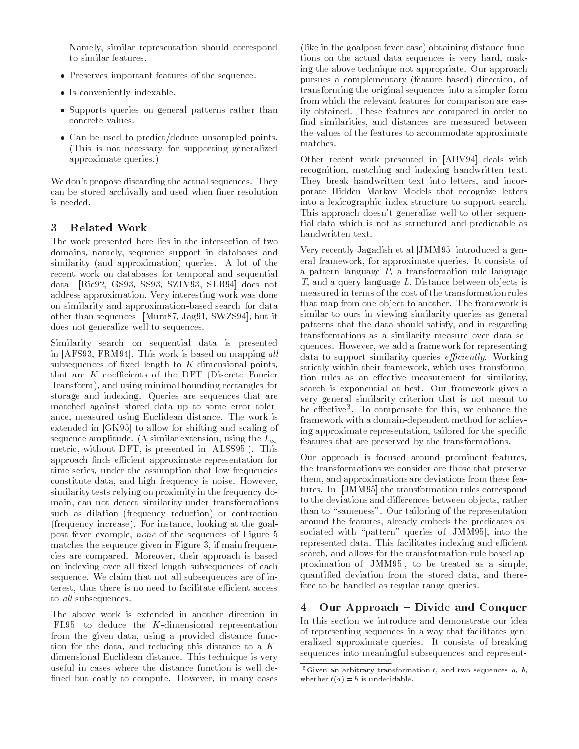Namely- similar representation should correspond to similar features

- Preserves important features of the sequence
- Is conveniently indexable
- s pupports queries on general patterns rather than concrete values
- Can be used to predictly we was a monochronously points of This is not necessary for supporting generalized approximate queries

We don't propose discarding the actual sequences. They can be stored archivally and used when finer resolution

#### 3 **Related Work**

The work presented here lies in the intersection of two assessment enamely-and-databases and proven and and manual measure similarity (and approximation) queries. A lot of the recent work on databases for temporal and sequential data oo kale waxaa dadka wadanka waxaa dadka waxaa dadka waxaa dadka waxaa dadka dadka dadka dadka dadka dadka address approximation. Very interesting work was done on similarity and approximation-based search for data other than sequences in the swap of the swap of the swap of the swap of the swap of the swap of the swap of the does not generalize well to sequences

Similarity search on sequential data is presented  $\ldots$  and  $\ldots$  is a sense in the second on mapping and subsequences of fixed length to  $K$ -dimensional points, that are  $K$  coefficients of the DFT (Discrete Fourier <u> and using minimal bounding rectangles for the standard property</u> storage and indexing. Queries are sequences that are matched against stored data up to some error toler ance-the measured using Euclidean distance-the work is a structured using Euclidean distance The work is a str  $\Box$  to allow for shifting and scaling and scaling  $\Box$ sequence and  $\sim$ metric, without March March Personal in Indianal and Indianal Article in March 1986 approach finds efficient approximate representation for times- with the assumption that low frequencies the assumption that  $\eta$  with the assumption of constitute data-disposition is not high frequency in the second contract of  $\mathcal{L}_\mathcal{A}$ similarity tests relying on proximity in the frequency do main- can not detect similarity under transformations such as dilation (frequency reduction) or contraction frequency increase For instance- looking at the goal post fever the sequence is the sequence of the sequence of  $\mathcal{A}$ matches the sequence given me a quee et manual meequent cies are compared Moreover- their approach is based on indexing over all fixed-length subsequences of each sequence. We claim that not all subsequences are of interest- thus there is no need to facilitate ecient access to all subsequences.

The above work is extended in another direction in FL to deduce the Kdimensional representation from the given data- using a provided distance func tion for the data- and reducing this distance to a K dimensional Euclidean distance. This technique is very useful in cases where the distance function is well de ned but costly to control the costly to control the costly to control the costly to control the costly to control the costly to control the costly to control the costly to control the costly to control the costly to contro

(like in the goalpost fever case) obtaining distance functions on the actual data sequences is very hard- mak ing the above technique not appropriate Our approach pursues a complementary feature based direction- of transforming the original sequences into a simpler form from which the relevant features for comparison are eas ily obtained. These features are compared in order to nd similarities- and distances are measured between the values of the features to accommodate approximate matches

other recent work presented in a state with the control of the control of the control of the control of the control of the control of the control of the control of the control of the control of the control of the control o recognition- matching and indexing handwritten text They break handwritten text into letters- and incor porate Hidden Markov Models that recognize letters into a lexicographic index structure to support search This approach doesn't generalize well to other sequential data which is not as structured and predictable as handwritten text

very recently a generated a construction produced a generated and  $\pi$ eral framework-tension in population and the process of the construction of the construction of the construction of the construction of the construction of the construction of the construction of the construction of the co a pattern language P-, a transformation rule language -T-case a query language L Distance between objects is measured in terms of the cost of the transformation rules that map from one object to another. The framework is similar to ours in viewing similarity queries as general patterns that the data show and interest and in regarding transformations as a similarity measure over data se que a framework for a framework for representing the framework for representing the framework  $\mu$ data to support similarity queries e<sub>ff</sub>iciency working and strictly within the content of the strictly within the content of the strictly of the strict of the strict of tion rules as an effective measurement for similarity, search is exponential at best. Our framework gives a very general similarity criterion that is not meant to be effective . To compensate for this, we enhance the framework with a domain-dependent method for achieving approximate representation- tailored for the specic features that are preserved by the transformations

Our approach is focused around prominent features, the transformations we consider are those that preserve them- and approximations are deviations from these fea tures In a stransformation rules in the transformation rules corresponding to the transformation rules corresponding to the transformation of the transformation rules of the transformation rules of the transformation rules to the deviations and dierences between objects- rather than to "sameness". Our tailoring of the representation around the features-the features-the features-the predicates as a structures-the predicates as a structure of the predicates as a structure of the predicates as a structure of the predicates as a structure of the predicate sociated with pattern queries of  $\mathcal{A}$  and  $\mathcal{A}$  and  $\mathcal{A}$  are the theoretical pattern of  $\mathcal{A}$  and  $\mathcal{A}$ represented data. This facilitates indexing and efficient search- and allows for the transformationrule based ap proximation of the treated as a simple-dimensional proximation of the simple-dimensional proximation of the si quanties deviation from the stored data-deviation from the stored data-deviation from the stored data-deviation fore to be handled as regular range queries

### Our Approach - Divide and Conquer  $\overline{\bf{4}}$

In this section we introduce and demonstrate our idea of representing sequences in a way that facilitates gen eralized approximate queries. It consists of breaking sequences into meaningful subsequences and represent

<sup>-</sup>Given an arbitrary transformation  $\iota_+$  and two sequences  $a_+$   $\bar{v}_+$ whether  $t(a) = b$  is undecidable.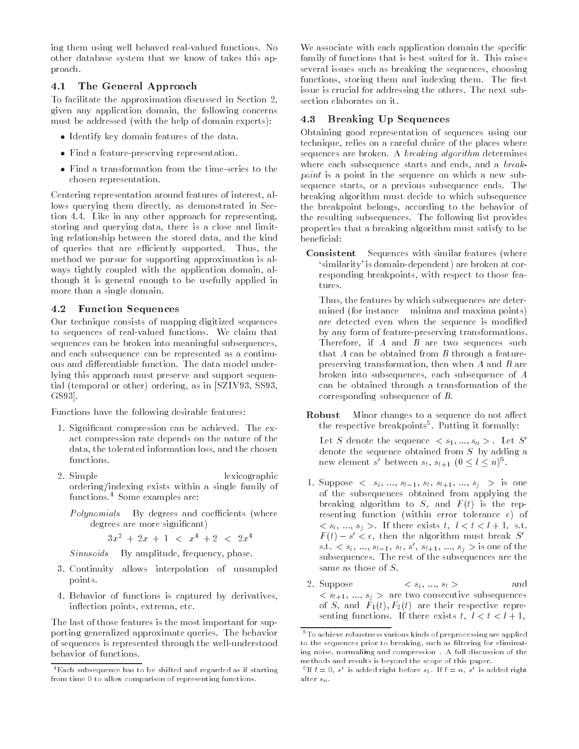ing them using well behaved real-time and real-time control and other database system that we know of takes this approach

#### 4.1 The General Approach

To facilitate the approximation discussed in Section given any application domain, the following concerns must be addressed (with the help of domain experts):

- Identify key domain features of the data
- Find a feature-preserving representation
- chosen representation

Centering representation around features of interest, allows querying them directly, as demonstrated in Section 4.4. Like in any other approach for representing, storing and querying data, there is a close and limiting relationship between the stored data, and the kind of queries that are experimented Thus that are experimented Thus the cient of the cient of the cient of the ci method we pursue for supporting approximation is always tightly coupled with the application domain, although it is general enough to be usefully applied in more than a single domain

#### Function Sequences  $4.2$

Our technique consists of mapping digitized sequences to sequences of real-valued functions We claim that sequences can be broken into meaningful subsequences and each subsequence can be represented as a continuous and differentiable function. The data model underlying this approach must preserve and support sequential (temporal or other) ordering, as in [SZLV93, SS93, GS93.

Functions have the following desirable features

- 1. Significant compression can be achieved. The exact compression rate depends on the nature of the data, the tolerated information loss, and the chosen functions
- 2. Simple lexicographic ordering/indexing exists within a single family of  $functions.<sup>4</sup>$  Some examples are:
	- Polynomials By degrees and coe cients where degrees are more significant)

 $\exists x$  +  $\exists x$  +  $1$  <  $x$  +  $\bot$  <  $\angle x$  +

 $Sinusoids - By amplitude, frequency, phase.$ 

- Continuity allows interpolation of unsampled points
- 4. Behavior of functions is captured by derivatives, inflection points, extrema, etc.

The last of those features is the most important for supporting generalized approximate queries. The behavior of sequences is represented through the well-understood behavior of functions

We associate with each application domain the specific family of functions that is best suited for it. This raises several issues such as breaking the sequences, choosing functions, storing them and indexing them. The first issue is crucial for addressing the others. The next subsection elaborates on it

#### 4.3 Breaking Up Sequences

Obtaining good representation of sequences using our technique, relies on a careful choice of the places where sequences are broken. A *breaking algorithm* determines where each subsequence starts and ends, and a breakpoint is a point in the sequence on which a new subsequence starts, or a previous subsequence ends. The breaking algorithm must decide to which subsequence the breakpoint belongs, according to the behavior of the resulting subsequences. The following list provides properties that a breaking algorithm must satisfy to be beneficial:

Consistent - Sequences with similar features (where similarity is domain-dependent are broken at corresponding breakpoints, with respect to those features

Thus, the features by which subsequences are determined (for instance - minima and maxima points) are detected even when the sequence is modified by any form of feature-preserving transformations Therefore, if  $A$  and  $B$  are two sequences such that  $A$  can be obtained from  $B$  through a featurepreserving transformation, then when  $A$  and  $B$  are broken into subsequences, each subsequence of  $A$ can be obtained through a transformation of the corresponding subsequence of B

**Robust**  $-$  Minor changes to a sequence do not affect the respective preakpoints . Putting it formally:

Let  $S$  denote the sequence  $\langle s_1,...,s_n\rangle$  . Let  $S$ denote the sequence obtained from <sup>S</sup> by adding a new element s between  $s_l, s_{l+1} \ (0 \leq l \leq n)$ .

- $\mathbf{r}$  is approved  $\mathbf{r}$  is  $\mathbf{s}_i$  is the sign of  $\mathbf{s}_i$  is  $\mathbf{s}_i$  is supposed to  $\mathbf{s}_i$  is the signal of  $\mathbf{s}_i$ of the subsequences obtained from applying the breaking algorithm to  $S$ , and  $F(t)$  is the representing function (within error tolerance  $\epsilon$ ) of  $\sim$   $\sigma_{i}$ ,  $\cdots$ ,  $\sigma_{i}$   $>$   $\cdots$  are existent to the  $\sigma_{i}$   $\cdots$   $\sim$   $\cdots$   $\cdots$   $\cdots$  $F(t) = s \lt \epsilon$ , then the algorithm must break  $S$ s.  $s_1, s_2, s_3, \ldots, s_{l-1}, s_l, s_l, s_{l+1}, s_l, s_l, s_l > s$  sone of the subsequences The rest of the subsequences are the same as those of  $S$ .
- 2. Suppose  $\langle s_i, ..., s_l \rangle$  and  $\sim$   $\alpha_1$   $\neq$   $\cdots$   $\alpha_n$   $\geq$   $\cdots$  can be consecutive subsequences of S and Ft F-t are their respective representing functions in the exists there is a local to the local to the local term of the local term of the local

Each subsequence has to be shifted and regarded as if starting from time - to allow comparison of representing functions

<sup>-</sup>To achieve robustness various kinds of preprocessing are applied to the sequences prior to breaking, such as filtering for eliminating noise, normalizing and compression . A full discussion of the methods and results is beyond the scope of this paper

If  $l = 0, s$  is added right before  $s_1$ . If  $l = n, s$  is added right after  $s_n$ .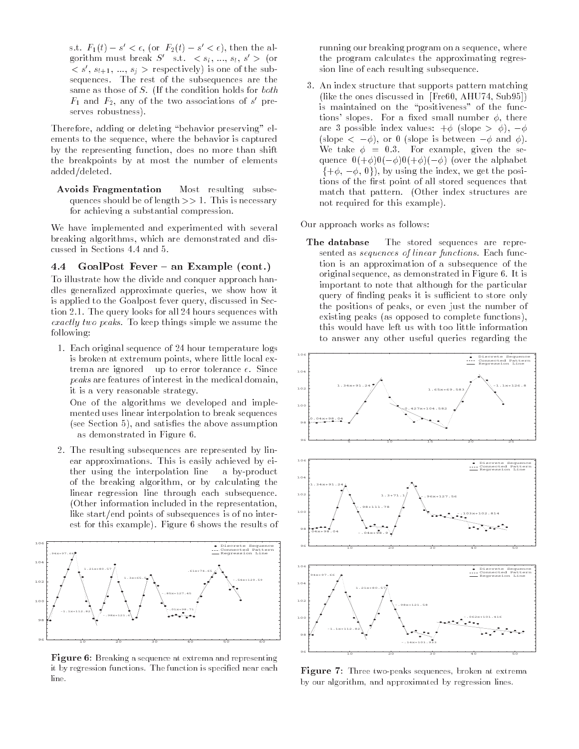s.t.  $F_1(t) = s \leq \epsilon$ , (or  $F_2(t) = s \leq \epsilon$ ), then the algorithm must break  $S_{-}$  s.t.  $\langle s_i, ..., s_l, s \rangle$  (or  $\langle s, s_{l+1}, ..., s_i \rangle$  respectively) is one of the subsequences - The subsequences are the subsequences are the subsequences are the subsequences are the subsequences same as the condition of the condition of the condition  $\alpha$  $r_1$  and  $r_2$ , any of the two associations of  $s$  -preserves robustness).

Therefore, adding or deleting "behavior preserving" elements to the sequence, where the behavior is captured by the representing function, does no more than shift the breakpoints by at most the number of elements added/deleted.

Avoids Fragmentation Most resulting subse quences show here is necessary to a show more consider that is necessary to the state of the state of the state of the state of the state of the state of the state of the state of the state of the state of the state of the for achieving a substantial compression.

We have implemented and experimented with several breaking algorithms, which are demonstrated and dis-

#### 4.4  $\mathbf{F}$  and  $\mathbf{F}$  are  $\mathbf{F}$  and  $\mathbf{F}$   $\mathbf{F}$  and  $\mathbf{F}$  are  $\mathbf{F}$

To illustrate how the divide and conquer approach han dles generalized approximate queries, we show how it is applied to the Goalpost fever query, discussed in Section -- The query looks for all  hours sequences with exactly two peaks. To hoop things simple we assume the following

- Each original sequence of  hour temperature logs is broken at extremum points, where little local extrema are ignored to prove the contraction of the state  $\sim$ peaks are features of interest in the medical domain it is a very reasonable strategy-

One of the algorithms we developed and imple mented uses linear interpolation to break sequences  $(see Section 5)$ , and satisfies the above assumption as demonstrated in Figure - .

- The resulting subsequences are represented by links are represented by links are represented by links and the ear approximations- This is easily achieved by eigenvalues of the contract of the contract of the contract of the contract of the contract of the contract of the contract of the contract of the contract of the contract of ther using the interpolation line interpretation in the interpretation of the interpretation of the interpretation of the interpretation of the interpretation of the interpretation of the interpretation of the interpretati of the breaking algorithm, or by calculating the linear regression line through each subsequence. Other information included in the representation like start/end points of subsequences is of no interest for this example-this example-this example-this example-this example-this example-



**Figure 0.** Dreaking a sequence at extrema and representing it by regression functions- The function is specied near eachline.

running our breaking program on a sequence, where the program calculates the approximating regres sion line of each resulting subsequence.

- An index structure that supports pattern matching (like the ones discussed in [Fre $60, \text{AHU}$ 74, Sub $95$ ]) is maintained on the "positiveness" of the functions study and some state states there are no set there is are 3 possible index values:  $+\phi$  (slope  $> \phi$ ),  $-\phi$ (slope  $\lt$   $-\varphi$ ), or  $\theta$  (slope is between  $-\varphi$  and  $\varphi$ ). we take the second the second property of the second second the second second second second second second second quence  $0(+\phi)0(-\phi)0(+\phi)(-\phi)$  (over the alphabet  $\{+\phi, -\phi, 0\}$ , by using the index, we get the positions of the first point of all stored sequences that match that patterns are the patternnot required for this example).

Our approach works as follows

The database The stored sequences are repre sented as sequences of threar functions. Bach func tion is an approximation of a subsequence of the original sequence as demonstrated in Figure - It is important to note that although for the particular query of finding peaks it is sufficient to store only the positions of peaks, or even just the number of existing peaks (as opposed to complete functions), this would have left us with too little information to answer any other useful queries regarding the



Figure 7: Three two-peaks sequences, broken at extrema by our algorithm, and approximated by regression lines.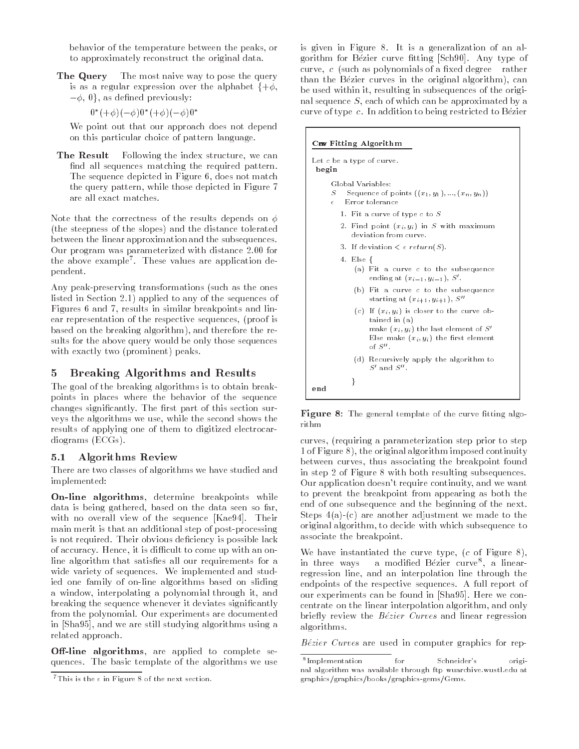behavior of the temperature between the peaks- or to approximately reconstruct the original data

The Query The most naive way to pose the query is as a regular expression over the alphabet  $\{+\phi,$  $-\phi$ , 0}, as defined previously:

$$
0^*(+\phi)(-\phi)0^*(+\phi)(-\phi)0^*
$$

We point out that our approach does not depend on this particular choice of pattern language

**The Result** Following the index structure, we can find all sequences matching the required pattern. The sequence depicted in Figure - does not match the query patterns are patterns of the gradient in Figure and the gradient in Figure 2011 and the gradient in Figure are all exact matches.

Note that the correctness of the results depends on  $\phi$  the steepness of the slopes and the distance tolerated between the linear approximation and the subsequences our program was parameterized with distance with distance  $\sim$ the above example These values are application de pendent

Any peak-preserving transformations (such as the ones listed in Section applied to any of the sequences of  $F_{\rm eff}$  and  $F_{\rm eff}$  and linear breakpoints and linear breakpoints and linear breakpoints and linear breakpoints and linear breakpoints and linear breakpoints and linear breakpoints and linear breakpoints and linear brea ear representation of the respective sequences of the respective sequencesand the breaking algorithm of the reference that  $\mathbf{r}$ sults for the above query would be only those sequences  $\mathcal{P}$  . The exactly two states  $\mathcal{P}$  prominent is the exact of  $\mathcal{P}$  . The exact of  $\mathcal{P}$ 

## 5 Breaking Algorithms and Results

The goal of the breaking algorithms is to obtain break points in places where the behavior of the sequence changes significantly. The first part of this section surveys the algorithms we use- while the second shows the results of applying one of them to digitized electrocar diograms in the contract of the contract of the contract of the contract of the contract of the contract of the

## - Algorithms Review

There are two classes of algorithms we have studied and implemented

On-line algorithms- determine breakpoints while data is being gathered- based on the data seen so farwith no overall view of the sequence [Kae94]. Their main merit is that an additional step of post-processing is not required. Their obvious deficiency is possible lack of accuracy it is a come of a come up with an one-come up with an one-come up with  $\alpha$ line algorithm that satisfies all our requirements for a wide variety of sequences. We implemented and studied one family of on-line algorithms based on sliding a window-window-window-window-window-window-window-window-window-window-window-window-window-window-window-window-window-window-window-window-window-window-window-window-window-window-w breaking the sequence whenever it deviates signicantly from the polynomial. Our experiments are documented in Sha- and we are still studying algorithms using a related approach

**On-line argulations**, are applied to complete sequences The basic template of the algorithms we use

is given in Figure 8. It is a generalization of an algorithm for Bezier curve fitting [Sch90]. Any type of curve, a polynomial polynomials of a manager as  $\alpha$ than the Bezier curves in the original algorithm  $\mathcal{L}$ be used within it- resulting in subsequences of the origi nal sequence so a contract by a contract can be approximated by a structure  $\alpha$ curve of type c. In addition to being restricted to Bézier

### Cne Fitting Algorithm

| Let c be a type of curve.<br>begin                                                                                                                                      |  |  |  |  |  |  |
|-------------------------------------------------------------------------------------------------------------------------------------------------------------------------|--|--|--|--|--|--|
| Global Variables:<br>Sequence of points $((x_1, y_1), , (x_n, y_n))$<br>S<br>Error tolerance<br>$\epsilon$                                                              |  |  |  |  |  |  |
| 1. Fit a curve of type $c$ to $S$                                                                                                                                       |  |  |  |  |  |  |
| 2. Find point $(x_i, y_i)$ in S with maximum<br>deviation from curve.                                                                                                   |  |  |  |  |  |  |
| 3. If deviation $\lt$ $\epsilon$ return(S).                                                                                                                             |  |  |  |  |  |  |
| 4. Else {<br>(a) Fit a curve c to the subsequence<br>ending at $(x_{i-1}, y_{i-1}), S'.$                                                                                |  |  |  |  |  |  |
| (b) Fit a curve c to the subsequence<br>starting at $(x_{i+1}, y_{i+1})$ , S''                                                                                          |  |  |  |  |  |  |
| (c) If $(x_i, y_i)$ is closer to the curve ob-<br>tained in (a)<br>make $(x_i, y_i)$ the last element of $S'$<br>Else make $(x_i, y_i)$ the first element<br>of $S''$ . |  |  |  |  |  |  |
| (d) Recursively apply the algorithm to<br>$S'$ and $S''$ .                                                                                                              |  |  |  |  |  |  |
| ł<br>end                                                                                                                                                                |  |  |  |  |  |  |

 $\bf r$  igure  $\bf o$ . The general template of the curve intense algorithm

curves-curves-prior to prior the prior to step prior to step prior to step prior to step and the step of the s - the original algorithm imposed continuity and the continuity of the original  $\sim$ between curves-breakpoint foundations associating the breakpoint foundation of the breakpoint for the breakpoin in step 2 of Figure 8 with both resulting subsequences. our application doesnt require continuity, we want to continu to prevent the breakpoint from appearing as both the end of one subsequence and the beginning of the next Steps a c are another adjustment we made to the original algorithmic variation with which with subsequence to the associate the breakpoint

where the contract the curve terms of  $\mathcal{C}$  is the curve the curve terms of  $\mathcal{C}$ in three ways – a modified Bezier curve", a linearregression interpolation interpretation interpretation  $\mathcal{A}$ endpoints of the respective sequences A full report of our experiments can be found in [Sha95]. Here we concentrate on the line interpretation and only the complete  $\sim$ briey review the B-ezier Curves and linear regression algorithms

B-ezier Curves are used in computer graphics for rep

 $\pm$  1 ms is the  $\epsilon$  in Figure  $\delta$  of the next section.

Implementationfor Schneider's original algorithm was available through ftp wuarchive.wustl.edu at graphics/graphics/books/graphics-gems/Gems.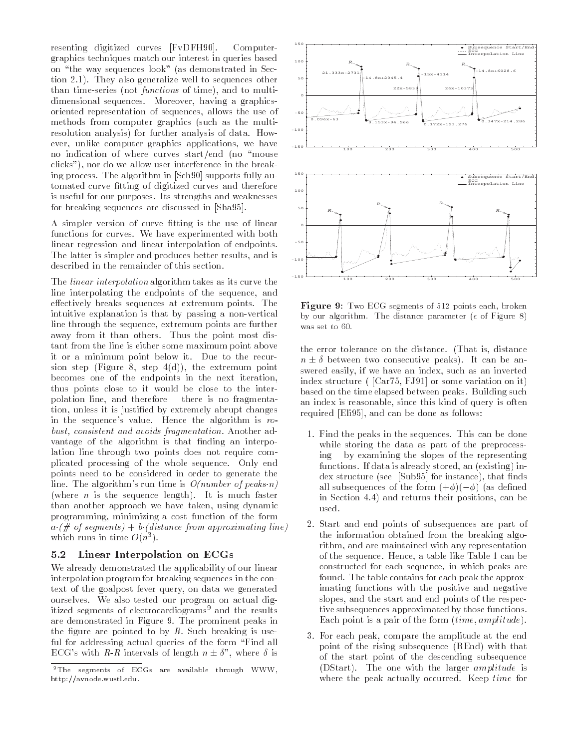resenting digitized curves in the curve of computers of graphics techniques match our interest in queries based on the way sequences look as demonstrated in Sec tion 2.1). They also generalize well to sequences other than times strive functions of third of which is might dimensional sequences. Moreover, having a graphicsoriented representation of sequences allows the use of methods from computer graphics such as the multi resolution analysis) for further analysis of data. However, unlike computer graphics applications, we have no indication of where curves starty first year. In the start clicks"), nor do we allow user interference in the breaking process The algorithm in -Sch supports fully au tomated curve fitting of digitized curves and therefore is useful for our purposes Its strengths and weaknesses for breaking sequences are discussed in -Sha

A simpler version of curve tting is the use of linear functions for curves. We have experimented with both linear regression and linear interpolation of endpoints The latter is simpler and produces better results, and is described in the remainder of this section

The linear interpolation algorithm takes as its curve the line interpolating the endpoints of the sequence, and effectively breaks sequences at extremum points. The intuitive explanation is that by passing a non-vertical line through the sequence, extremum points are further away from it than others. Thus the point most distant from the line is either some maximum point above it or a minimum point below it Due to the recur sion step j<del>e tyste</del> ei step ejer<sub>t i</sub> the entertainment point. becomes one of the endpoints in the next iteration thus points close to it would be close to the inter polation line, and therefore - there is no fragmentation, unless it is justified by extremely abrupt changes in the sequence's value. Hence the algorithm is  $ro$ vast, consistent and avoids fragmentation. Another advantage of the algorithm is that finding an interpolation line through two points does not require com plicated processing of the whole sequence. Only end points need to be considered in order to generate the line. The algorithm's run time is  $O(number of peaks n)$  $\mathcal{L}$  is the sequence length faster  $\mathcal{L}$  is the sequence in the sequence is  $\mathcal{L}$ than another approach we have taken, using dynamic programming, minimizing a cost function of the form  $a \cdot (\# \text{ of segments}) + b \cdot (distance \text{ from approximating line})$ which runs in time  $O(n^{-})$ .

#### $5.2$ Linear Interpolation on ECGs

We already demonstrated the applicability of our linear interpolation program for breaking sequences in the con text of the goalpost fever query on data we generated ourselves. We also tested our program on actual digitized segments of electrocardiograms<sup>9</sup> and the results are demonstrated in Figure 9. The prominent peaks in the figure are pointed to by  $R$ . Such breaking is useful for addressing actual queries of the form "Find all  $\Xi$  with  $\Xi$  is a strictly of length  $\Xi$  , intervals of  $\Xi$ 



**Figure 3.** Two ECG segments of  $\sigma_{12}$  points each, broken by our algorithm. The distance parameter ( $\epsilon$  of Figure 8) was set to

the error tolerance on the distance That is distance <sup>n</sup> - - between two consecutive peaks
It can be an swered easily, if we have an index, such as an inverted in the structure of the structure or some variation of the structure or  $\mathcal{C}$ based on the time elapsed between peaks. Building such an index is reasonable, since this kind of query is often required - Elizabeth - Elizabeth - Elizabeth - Elizabeth - Elizabeth - Elizabeth - Elizabeth - Elizabeth - Eli

- 1. Find the peaks in the sequences. This can be done while storing the data as part of the preprocess  $ing - by examining the slopes of the representing$ functions If data is already stored and the stored and the stored and the stored and the stored and the stored and the stored and the stored and the stored and the stored and the stored and the stored and the stored and th dex structure in the structure  $\mathbf{S}$  for instance in the structure instance in the structure in the structure in all subsequences of the form of  $\mathcal{A} \cup \mathcal{B}$ in Section 4.4) and returns their positions, can be used.
- 2. Start and end points of subsequences are part of the information obtained from the breaking algo rithm, and are maintained with any representation of the sequence. Hence, a table like Table 1 can be constructed for each sequence in which peaks are found. The table contains for each peak the approximating functions with the positive and negative slopes, and the start and end points of the respective subsequences approximated by those functions Each point is a pair or the form penet amplitude;
- 3. For each peak, compare the amplitude at the end point of the rising subsequence REnd
with that of the start point of the descending subsequence , the state of the larger amplitude is the larger and the larger amplitude is the largewhere the peak actually occurred. Keep time for

The segments of ECGs are available through WWWhttp://avnode.wustl.edu.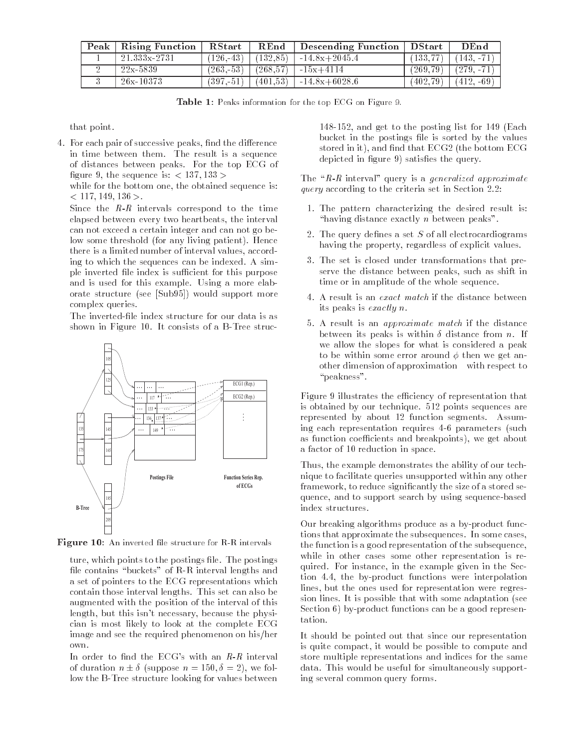| $\bold{Peak}$ | Rising Function | <b>RStart</b> | REnd     | Descending Function   DStart |          | $D\,$ End    |
|---------------|-----------------|---------------|----------|------------------------------|----------|--------------|
|               | 21.333x-2731    | $(126,-43)$   | (132.85) | $-14.8x+2045.4$              | (133.77) | $143, -71$   |
|               | $22x - 5839$    | $(263,-53)$   | (268.57) | $-15x+4114$                  | (269.79) | $(279, -71)$ |
|               | $26x - 10373$   | (397.-51)     | (401.53) | $1 - 14.8x + 6028.6$         | (402.79) | $(412, -69)$ |

**Table 1.** Feaks information for the top ECG on Figure 3.

that point

 For each pair of successive peaks nd the dierence in time between them. The result is a sequence of distances between peaks. For the top ECG of gues in the sequence is the sequence is  $\mathcal{L}_{\mathcal{A}}$ 

while for the bottom one, the obtained sequence is: - -

Since the R-<sup>R</sup> intervals correspond to the time elapsed between every two heartbeats, the interval can not exceed a certain integer and can not go be low some threshold (for any living patient). Hence there is a limited number of interval values, according to which the sequences can be indexed. A simple inverted file index is sufficient for this purpose and is used for this example. Using a more elaborate structure (see [Sub95]) would support more complex queries

The inverted-file index structure for our data is as shown in Figure 10. It consists of a B-Tree struc-



**Figure TO.** An inverted the structure for R-R intervals

ture-booster and points to the postings left and points to the postfile contains "buckets" of R-R interval lengths and a set of pointers to the ECG representations which contain those interval lengths. This set can also be augmented with the position of the interval of this length- but this isnt necessary- because the physi cian is most likely to look at the complete ECG image and see the required phenomenon on his/her own

In order to middle the ECGs within while it inter two of duration is  $\pm$  suppose it  $\pm$  suppose  $\pm$ low the B-Tree structure looking for values between

 $\mathcal{L}$  and get to the posting list for the posterior  $\mathcal{L}$ bucket in the postings file is sorted by the values stored in iteration in iteration in iteration in the bottom ECG  $\sim$  and the bottom ECG  $\sim$ depicted in figure  $9$ ) satisfies the query.

The R-R interval query is a generalized approximate query according to the criteria set in Section

- 1. The pattern characterizing the desired result is: "having distance exactly  $n$  between peaks".
- 2. The query defines a set  $S$  of all electrocardiograms having the property- regardless of explicit values
- 3. The set is closed under transformations that preserve the distance between peaks-distance between peaks-distance between peaks-distance between peaks-distance time or in amplitude of the whole sequence.
- A result is an exact match if the distance between its peaks is exactly n
- 5. A result is an *approximate match* if the distance between its peaks is within - distance from n If we allow the slopes for what is considered a peak to be within some error around  $\phi$  then we get another dimension of approximation with respect to "peakness".

Figure 9 illustrates the efficiency of representation that is obtained by our technique.  $512$  points sequences are represented by about 12 function segments. Assuming each representation requires parameters such as function coecients and breakpoints- we get about a factor of 10 reduction in space.

Thus-the example demonstrates the example demonstrates the ability of our technical problem of our technical problem of our technical problem of our technical problem of our technical problem of our technical problem of ou nique to facilitate queries unsupported within any other framework- to reduce signicantly the size of a stored se que se se and to support search by using sequence search sequence index structures

Our breaking algorithms produce as a by-product functions that approximate the subsequences. In some cases, the function is a good representation of the subsequence, while in other cases some other representation is re quired For instance-state in the second primer product in the Second Second Second Second Second Second Second tion - the bit functions were interpreted that the bit functions of the bit functions of the bit  $\mathcal{L}_\mathbf{p}$ lines- but the ones used for representation were regres sion lines It is possible that with some adaptation see Section  $6$ ) by-product functions can be a good representation.

It should be pointed out that since our representation is quite compact- it would be possible to compute and store multiple representations and indices for the same data. This would be useful for simultaneously supporting several common query forms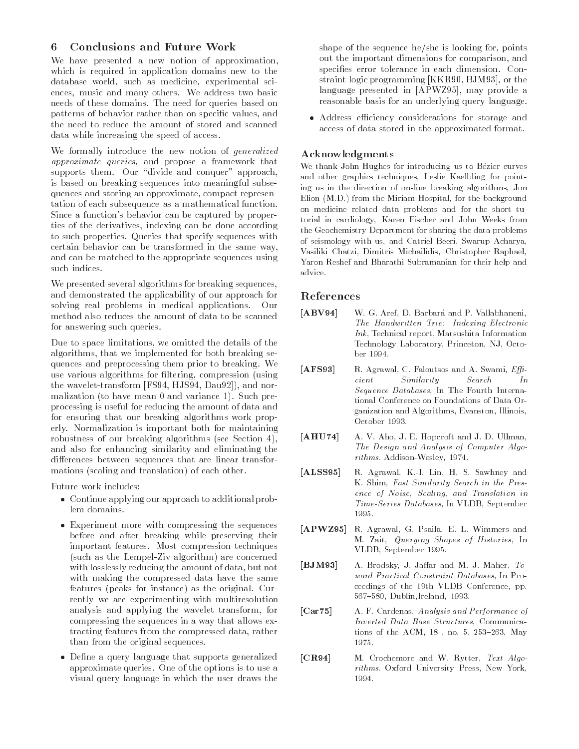## Conclusions and Future Work

We have presented a new notion of approximation, which is required in application domains new to the database world-world-world-world-world-world-world-world-world-world-world-world-world-world-world-world-worldences-bences-bences-bences-bences-bences-bences-bences-bences-bences-bences-bences-bences-bences-bences-bences needs of these domains The need for queries based on patterns of and behavior rather than on specific values-  $\alpha$ the need to reduce the amount of stored and scanned data while increasing the speed of access

We formally introduce the new notion of generalized approximate queries, and propose a framework that supports them. Our "divide and conquer" approach, is based on breaking sequences into meaningful subse quences and storing and storing and storing and storing and storing and storing and storing and storing and storing and storing and storing and storing and storing and storing and storing and storing and storing and storin tation of each subsequence as a mathematical function Since a function's behavior can be captured by proper-Since a functions behavior can be captured by proper ties of the derivatives- indexing can be done according to such properties Queries that specify sequences with certain behavior can be transformed in the same wayand can be matched to the appropriate sequences using such indices.

We presented several algorithms for breaking sequences, and demonstrated the applicability of our approach for solving real problems in medical applications. Our method also reduces the amount of data to be scanned for answering such queries

we our to space distinct the details of the details of the details of the details of the details of the detail algorithms- that we implemented for sext second and the second sext quences and preprocessing them prior to breaking. We use various and algorithms for literature of algorithms  $\lambda$ the wavelettransform in the wavelettransform of the wavelettransform in the control of the control of the control of the control of the control of the control of the control of the control of the control of the control of malization (to have mean  $0$  and variance 1). Such preprocessing is useful for reducing the amount of data and for ensuring that our breaking algorithms work prop erly. Normalization is important both for maintaining robustness of our breaking algorithms (see Section 4), and also for enhancing similarity and eliminating the differences between sequences that are linear transformations (scaling and translation) of each other.

Future work includes

- Continue applying our approach to additional prob lem domains
- Experiment more with compressing the sequences before and after breaking while preserving their important features. Most compression techniques  $(such as the Lempel-Ziv algorithm)$  are concerned with losslessly reducing the amount of data-but not determined by the amount of data-but not determined by the with making the compressed data have the same features (peaks for instance) as the original. Currently we are experimenting with multiresolution and a provided applying the wavelet transformation of the second the second the second term of the second term compressing the sequences in a way that allows ex tracting features from the compressed data- rather than from the original sequences
- Dene a query language that supports generalized approximate queries One of the options is to use a visual query language in which the user draws the

shape of the sequence heshe is looking for points out the important dimensions for comparisonspecifies error tolerance in each dimension. Constraint is given programming processing as since  $\mathcal{L}_{\mathbf{A}}$ language presented in APWZ- may provide a reasonable basis for an underlying query language

 Address eciency considerations for storage and access of data stored in the approximated format

### Acknowledgments

 $\mathcal{L}$  is the form introduced for internal using us to B-cores for the  $\mathcal{L}$ and other graphics techniques, Leslie Kaelbling for pointing us in the direction of on-line breaking algorithms, Jon Elion (M.D.) from the Miriam Hospital, for the background on medicine related data problems and for the short tu torial in cardiology, Karen Fischer and John Weeks from the Geochemistry Department for sharing the data problems of seismology with us, and Catriel Beeri, Swarup Acharya, Vasiliki Chatzi, Dimitris Michailidis, Christopher Raphael, Yaron Reshef and Bharathi Subramanian for their help and advice.

### References

- $[ABV94]$  W G Aref D Barbar-a and P Vallabhaneni The Handwritten Trie-Handwritten Trie-Handwritten Trie-Handwritten Trie-Handwritten Trie-Handwritten Trie-Handw  $Ink$ , Technical report, Matsushita Information Technology Laboratory, Princeton, NJ, Octo-
- $[AFS93]$ R. Agrawal, C. Faloutsos and A. Swami, Effi $cient$  $In$ cient Similarity Similarity Search International Similarity Search International Similarity Search International Similarity Search International Similarity Search International Similarity Search International Similarity Se Sequence Databases, In The Fourth International Conference on Foundations of Data Or ganization and Algorithms, Evanston, Illinois, October 1993.
- [AHU74] A. V. Aho, J. E. Hopcroft and J. D. Ullman, The Design and Analysis of Computer Algo rithms AddisonWesley
- $[ALSS95]$ R. Agrawal, K.-I. Lin, H. S. Sawhney and K. Shim, Fast Similarity Search in the Presence of Noise, Scaling, and Translation in Time-Series Databases, In VLDB, September 1995.
- $[APWZ95]$ R. Agrawal, G. Psaila, E. L. Wimmers and M. Zait, Querying Shapes of Histories, In VLDB, September 1995.
- $[BJM93]$ A. Brodsky, J. Jaffar and M. J. Maher, Toward Practical Constraint Databases, In Proceedings of the 19th VLDB Conference, pp. 567-580, Dublin, Ireland, 1993.
- [Car75] A. F. Cardenas, Analysis and Performance of Inverted Data Base Structures, Communications of the ACM,  $18$ , no. 5,  $253-263$ , May 1975.
- $|CR94|$ M. Crochemore and W. Rytter, Text Algorithms. Oxford University Press, New York,